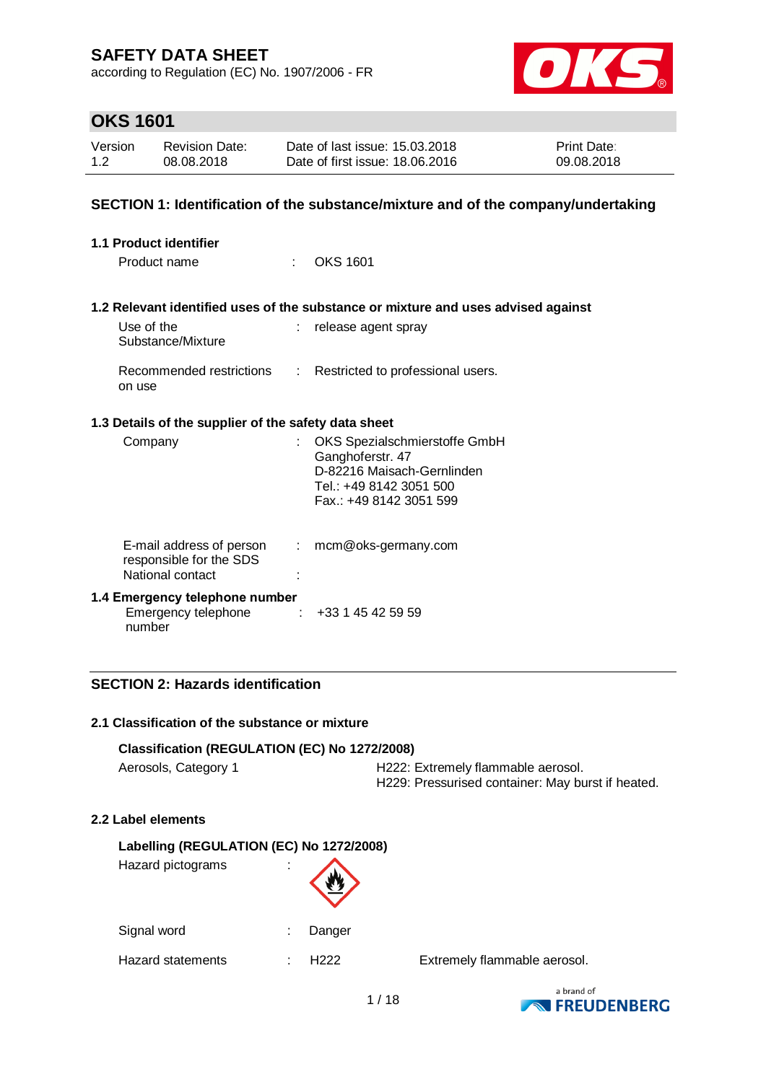according to Regulation (EC) No. 1907/2006 - FR



# **OKS 1601**

| Version | <b>Revision Date:</b> | Date of last issue: 15.03.2018  | <b>Print Date:</b> |
|---------|-----------------------|---------------------------------|--------------------|
| 1.2     | 08.08.2018            | Date of first issue: 18,06,2016 | 09.08.2018         |

#### **SECTION 1: Identification of the substance/mixture and of the company/undertaking**

| 1.1 Product identifier                                                  |                           |                                                                                                                                       |
|-------------------------------------------------------------------------|---------------------------|---------------------------------------------------------------------------------------------------------------------------------------|
| Product name                                                            | t.                        | <b>OKS 1601</b>                                                                                                                       |
|                                                                         |                           |                                                                                                                                       |
|                                                                         |                           | 1.2 Relevant identified uses of the substance or mixture and uses advised against                                                     |
| Use of the<br>Substance/Mixture                                         |                           | release agent spray                                                                                                                   |
| Recommended restrictions<br>on use                                      | ÷.                        | Restricted to professional users.                                                                                                     |
| 1.3 Details of the supplier of the safety data sheet                    |                           |                                                                                                                                       |
| Company                                                                 |                           | OKS Spezialschmierstoffe GmbH<br>Ganghoferstr. 47<br>D-82216 Maisach-Gernlinden<br>Tel.: +49 8142 3051 500<br>Fax.: +49 8142 3051 599 |
| E-mail address of person<br>responsible for the SDS<br>National contact | $\mathbb{R}^{\mathbb{Z}}$ | mcm@oks-germany.com                                                                                                                   |
| 1.4 Emergency telephone number<br>Emergency telephone<br>number         |                           | $\div$ +33 1 45 42 59 59                                                                                                              |

### **SECTION 2: Hazards identification**

#### **2.1 Classification of the substance or mixture**

#### **Classification (REGULATION (EC) No 1272/2008)**

|  | Aerosols, Category 1 |  |
|--|----------------------|--|
|--|----------------------|--|

H222: Extremely flammable aerosol. H229: Pressurised container: May burst if heated.

#### **2.2 Label elements**

| Labelling (REGULATION (EC) No 1272/2008) |        |  |  |
|------------------------------------------|--------|--|--|
| Hazard pictograms                        |        |  |  |
| Signal word                              | Danger |  |  |
| <b>Hazard statements</b>                 | H222   |  |  |

Extremely flammable aerosol.

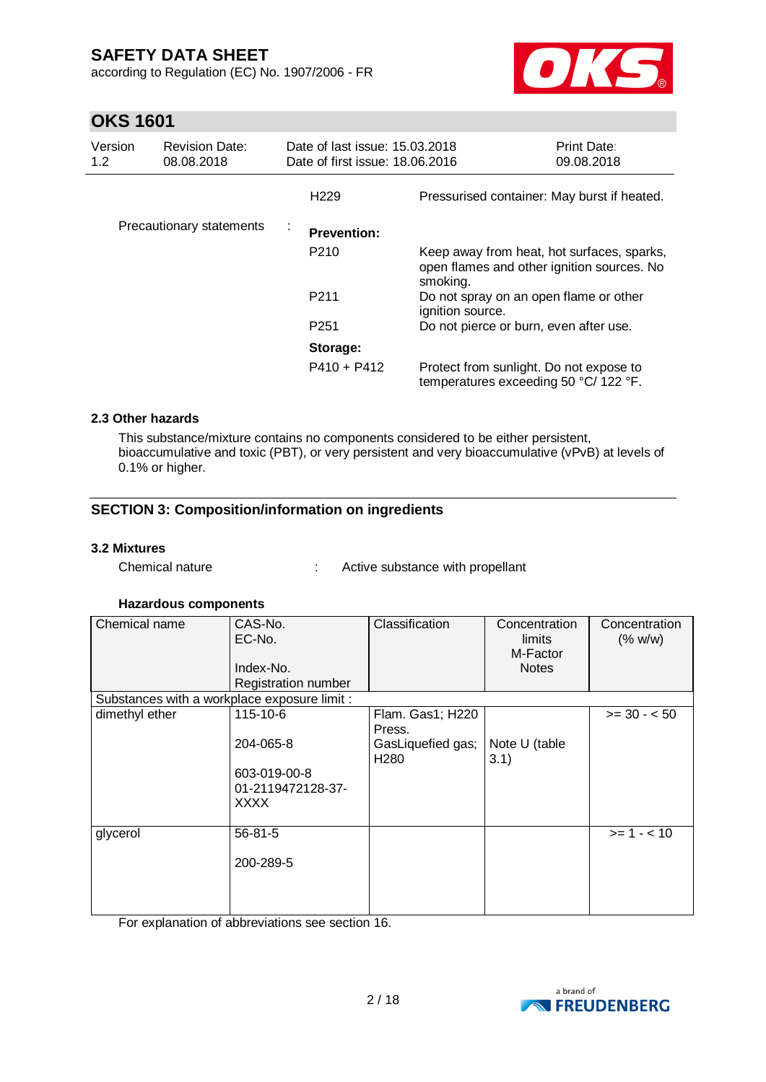according to Regulation (EC) No. 1907/2006 - FR



# **OKS 1601**

| Version<br>1.2 | <b>Revision Date:</b><br>08.08.2018 | Date of last issue: 15.03.2018<br>Date of first issue: 18.06.2016 |                                                                                                      | <b>Print Date:</b><br>09.08.2018 |
|----------------|-------------------------------------|-------------------------------------------------------------------|------------------------------------------------------------------------------------------------------|----------------------------------|
|                |                                     | H <sub>229</sub>                                                  | Pressurised container: May burst if heated.                                                          |                                  |
|                | Precautionary statements            | ÷<br><b>Prevention:</b>                                           |                                                                                                      |                                  |
|                |                                     | P <sub>210</sub>                                                  | Keep away from heat, hot surfaces, sparks,<br>open flames and other ignition sources. No<br>smoking. |                                  |
|                |                                     | P <sub>211</sub>                                                  | Do not spray on an open flame or other<br>ignition source.                                           |                                  |
|                |                                     | P <sub>251</sub>                                                  | Do not pierce or burn, even after use.                                                               |                                  |
|                |                                     | Storage:                                                          |                                                                                                      |                                  |
|                |                                     | $P410 + P412$                                                     | Protect from sunlight. Do not expose to<br>temperatures exceeding 50 °C/ 122 °F.                     |                                  |

#### **2.3 Other hazards**

This substance/mixture contains no components considered to be either persistent, bioaccumulative and toxic (PBT), or very persistent and very bioaccumulative (vPvB) at levels of 0.1% or higher.

### **SECTION 3: Composition/information on ingredients**

#### **3.2 Mixtures**

Chemical nature : Active substance with propellant

#### **Hazardous components**

| Chemical name                                | CAS-No.<br>EC-No.<br>Index-No.<br>Registration number | Classification                        | Concentration<br>limits<br>M-Factor<br><b>Notes</b> | Concentration<br>(% w/w) |
|----------------------------------------------|-------------------------------------------------------|---------------------------------------|-----------------------------------------------------|--------------------------|
| Substances with a workplace exposure limit : |                                                       |                                       |                                                     |                          |
| dimethyl ether                               | 115-10-6                                              | Flam. Gas1; H220<br>Press.            |                                                     | $>= 30 - 50$             |
|                                              | 204-065-8                                             | GasLiquefied gas;<br>H <sub>280</sub> | Note U (table<br>3.1)                               |                          |
|                                              | 603-019-00-8<br>01-2119472128-37-<br>XXXX             |                                       |                                                     |                          |
| glycerol                                     | 56-81-5                                               |                                       |                                                     | $>= 1 - 10$              |
|                                              | 200-289-5                                             |                                       |                                                     |                          |
|                                              |                                                       |                                       |                                                     |                          |

For explanation of abbreviations see section 16.

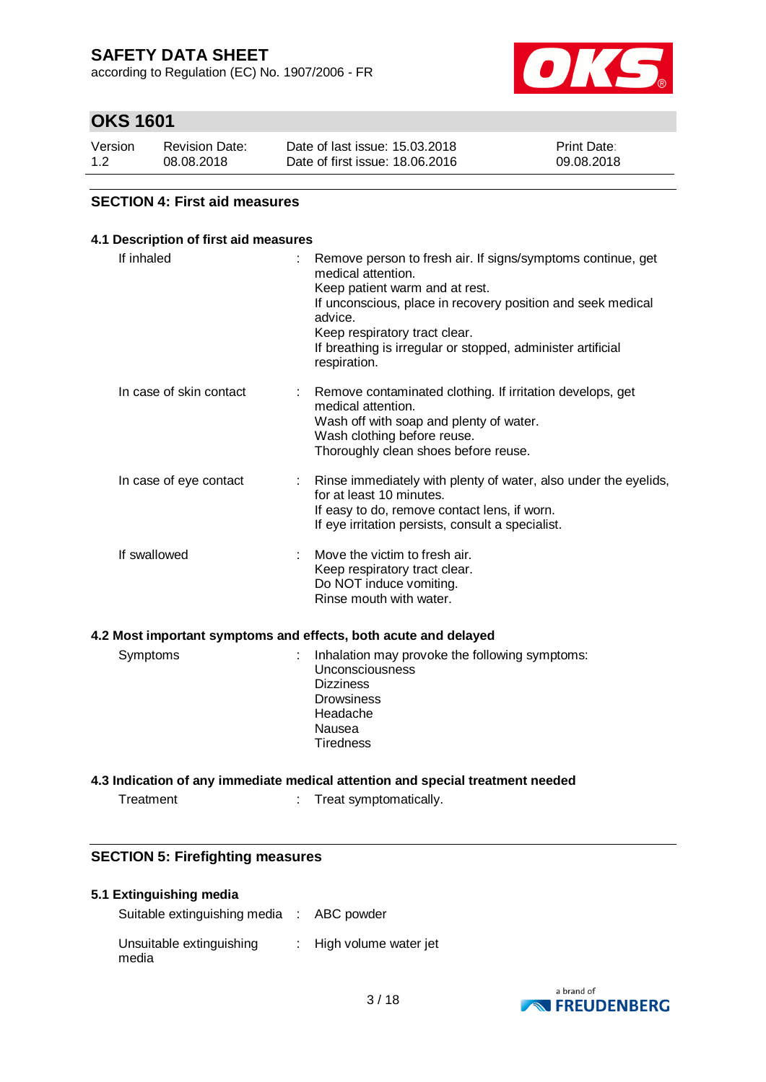according to Regulation (EC) No. 1907/2006 - FR



# **OKS 1601**

| Version | <b>Revision Date:</b> | Date of last issue: 15.03.2018  | <b>Print Date:</b> |
|---------|-----------------------|---------------------------------|--------------------|
| 1.2     | 08.08.2018            | Date of first issue: 18,06,2016 | 09.08.2018         |

### **SECTION 4: First aid measures**

#### **4.1 Description of first aid measures**

| If inhaled                  | Remove person to fresh air. If signs/symptoms continue, get<br>medical attention.<br>Keep patient warm and at rest.<br>If unconscious, place in recovery position and seek medical<br>advice.<br>Keep respiratory tract clear.<br>If breathing is irregular or stopped, administer artificial<br>respiration. |
|-----------------------------|---------------------------------------------------------------------------------------------------------------------------------------------------------------------------------------------------------------------------------------------------------------------------------------------------------------|
| In case of skin contact     | Remove contaminated clothing. If irritation develops, get<br>medical attention.<br>Wash off with soap and plenty of water.<br>Wash clothing before reuse.<br>Thoroughly clean shoes before reuse.                                                                                                             |
| In case of eye contact<br>t | Rinse immediately with plenty of water, also under the eyelids,<br>for at least 10 minutes.<br>If easy to do, remove contact lens, if worn.<br>If eye irritation persists, consult a specialist.                                                                                                              |
| If swallowed                | Move the victim to fresh air.<br>Keep respiratory tract clear.<br>Do NOT induce vomiting.<br>Rinse mouth with water.                                                                                                                                                                                          |
|                             |                                                                                                                                                                                                                                                                                                               |
| Symptoms<br>t               | Inhalation may provoke the following symptoms:<br>Unconsciousness<br><b>Dizziness</b><br><b>Drowsiness</b><br>Headache<br>Nausea<br><b>Tiredness</b>                                                                                                                                                          |
|                             | 4.2 Most important symptoms and effects, both acute and delayed                                                                                                                                                                                                                                               |

Treatment : Treat symptomatically.

### **SECTION 5: Firefighting measures**

#### **5.1 Extinguishing media**

| Suitable extinguishing media : ABC powder |                                    |
|-------------------------------------------|------------------------------------|
| Unsuitable extinguishing<br>media         | $\therefore$ High volume water jet |

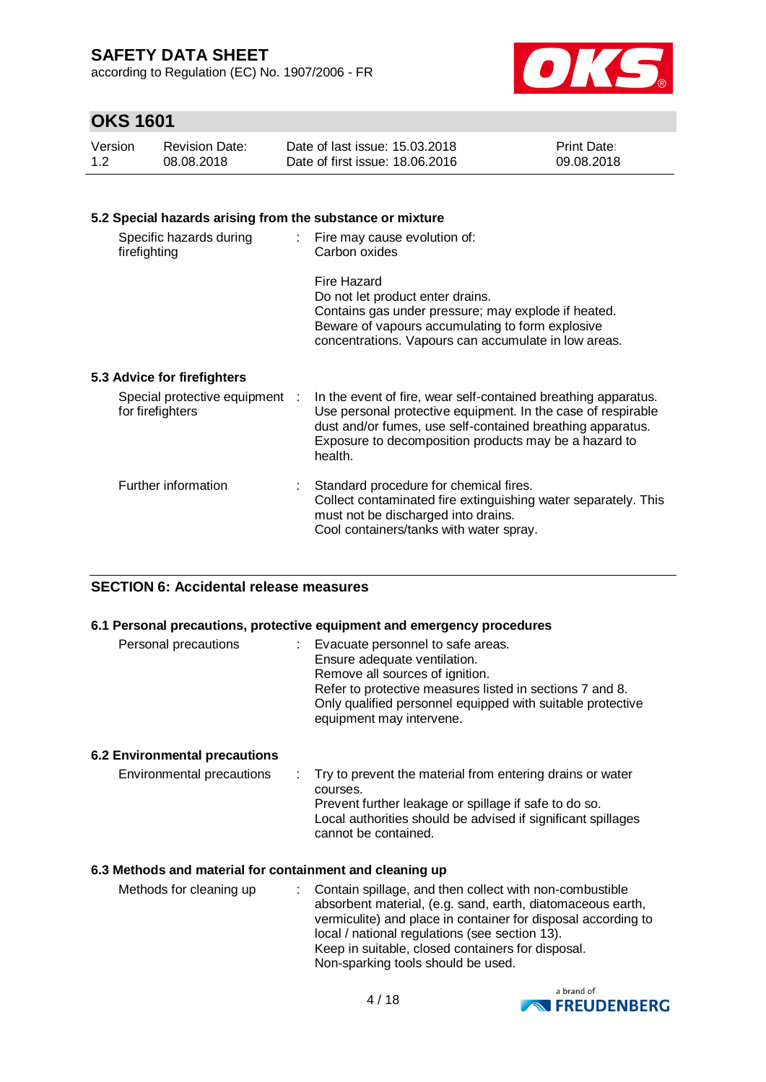according to Regulation (EC) No. 1907/2006 - FR



# **OKS 1601**

| Version | Revision Date: | Date of last issue: 15.03.2018  | <b>Print Date:</b> |
|---------|----------------|---------------------------------|--------------------|
| 1.2     | 08.08.2018     | Date of first issue: 18,06,2016 | 09.08.2018         |

### **5.2 Special hazards arising from the substance or mixture**

| Specific hazards during<br>firefighting            | : Fire may cause evolution of:<br>Carbon oxides                                                                                                                                                                                                                  |
|----------------------------------------------------|------------------------------------------------------------------------------------------------------------------------------------------------------------------------------------------------------------------------------------------------------------------|
|                                                    | Fire Hazard<br>Do not let product enter drains.<br>Contains gas under pressure; may explode if heated.<br>Beware of vapours accumulating to form explosive<br>concentrations. Vapours can accumulate in low areas.                                               |
| 5.3 Advice for firefighters                        |                                                                                                                                                                                                                                                                  |
| Special protective equipment :<br>for firefighters | In the event of fire, wear self-contained breathing apparatus.<br>Use personal protective equipment. In the case of respirable<br>dust and/or fumes, use self-contained breathing apparatus.<br>Exposure to decomposition products may be a hazard to<br>health. |
| Further information                                | Standard procedure for chemical fires.<br>Collect contaminated fire extinguishing water separately. This<br>must not be discharged into drains.                                                                                                                  |

Cool containers/tanks with water spray.

### **SECTION 6: Accidental release measures**

#### **6.1 Personal precautions, protective equipment and emergency procedures**

| Personal precautions | : Evacuate personnel to safe areas.<br>Ensure adequate ventilation.<br>Remove all sources of ignition.<br>Refer to protective measures listed in sections 7 and 8.<br>Only qualified personnel equipped with suitable protective<br>equipment may intervene. |
|----------------------|--------------------------------------------------------------------------------------------------------------------------------------------------------------------------------------------------------------------------------------------------------------|
|----------------------|--------------------------------------------------------------------------------------------------------------------------------------------------------------------------------------------------------------------------------------------------------------|

#### **6.2 Environmental precautions**

| Environmental precautions | : Try to prevent the material from entering drains or water  |
|---------------------------|--------------------------------------------------------------|
|                           | courses.                                                     |
|                           | Prevent further leakage or spillage if safe to do so.        |
|                           | Local authorities should be advised if significant spillages |
|                           | cannot be contained.                                         |
|                           |                                                              |

#### **6.3 Methods and material for containment and cleaning up**

| Methods for cleaning up | : Contain spillage, and then collect with non-combustible<br>absorbent material, (e.g. sand, earth, diatomaceous earth,<br>vermiculite) and place in container for disposal according to<br>local / national regulations (see section 13).<br>Keep in suitable, closed containers for disposal. |
|-------------------------|-------------------------------------------------------------------------------------------------------------------------------------------------------------------------------------------------------------------------------------------------------------------------------------------------|
|                         | Non-sparking tools should be used.                                                                                                                                                                                                                                                              |
|                         |                                                                                                                                                                                                                                                                                                 |

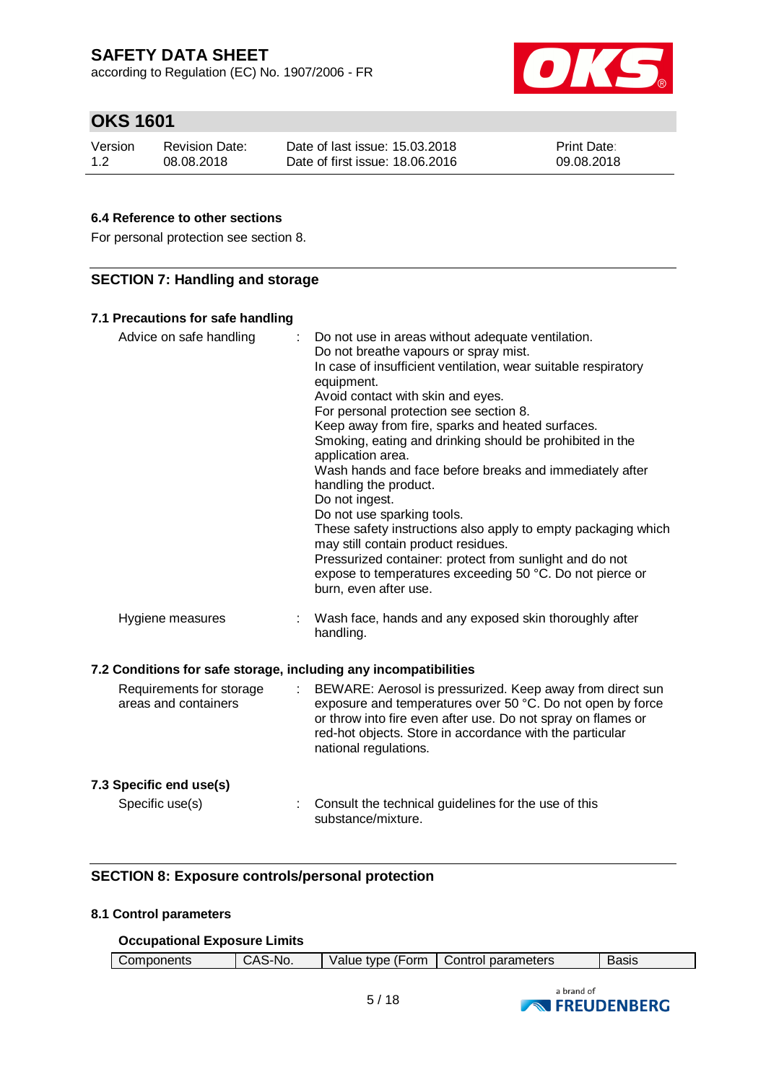according to Regulation (EC) No. 1907/2006 - FR



# **OKS 1601**

| Version | <b>Revision Date:</b> | Date of last issue: 15.03.2018  | <b>Print Date:</b> |
|---------|-----------------------|---------------------------------|--------------------|
| 1.2     | 08.08.2018            | Date of first issue: 18,06,2016 | 09.08.2018         |

### **6.4 Reference to other sections**

For personal protection see section 8.

### **SECTION 7: Handling and storage**

#### **7.1 Precautions for safe handling**

| Advice on safe handling                                          | ÷. | Do not use in areas without adequate ventilation.<br>Do not breathe vapours or spray mist.<br>In case of insufficient ventilation, wear suitable respiratory<br>equipment.<br>Avoid contact with skin and eyes.<br>For personal protection see section 8.<br>Keep away from fire, sparks and heated surfaces.<br>Smoking, eating and drinking should be prohibited in the<br>application area.<br>Wash hands and face before breaks and immediately after<br>handling the product.<br>Do not ingest.<br>Do not use sparking tools.<br>These safety instructions also apply to empty packaging which<br>may still contain product residues.<br>Pressurized container: protect from sunlight and do not<br>expose to temperatures exceeding 50 °C. Do not pierce or<br>burn, even after use. |
|------------------------------------------------------------------|----|--------------------------------------------------------------------------------------------------------------------------------------------------------------------------------------------------------------------------------------------------------------------------------------------------------------------------------------------------------------------------------------------------------------------------------------------------------------------------------------------------------------------------------------------------------------------------------------------------------------------------------------------------------------------------------------------------------------------------------------------------------------------------------------------|
| Hygiene measures                                                 |    | Wash face, hands and any exposed skin thoroughly after<br>handling.                                                                                                                                                                                                                                                                                                                                                                                                                                                                                                                                                                                                                                                                                                                        |
| 7.2 Conditions for safe storage, including any incompatibilities |    |                                                                                                                                                                                                                                                                                                                                                                                                                                                                                                                                                                                                                                                                                                                                                                                            |
| Requirements for storage<br>areas and containers                 | ÷  | BEWARE: Aerosol is pressurized. Keep away from direct sun<br>exposure and temperatures over 50 °C. Do not open by force<br>or throw into fire even after use. Do not spray on flames or<br>red-hot objects. Store in accordance with the particular<br>national regulations.                                                                                                                                                                                                                                                                                                                                                                                                                                                                                                               |
| 7.3 Specific end use(s)                                          |    |                                                                                                                                                                                                                                                                                                                                                                                                                                                                                                                                                                                                                                                                                                                                                                                            |
| Specific use(s)                                                  |    | Consult the technical guidelines for the use of this<br>substance/mixture.                                                                                                                                                                                                                                                                                                                                                                                                                                                                                                                                                                                                                                                                                                                 |

### **SECTION 8: Exposure controls/personal protection**

#### **8.1 Control parameters**

#### **Occupational Exposure Limits**

| Components | S-No.<br>۰Δ۲<br>пu. | ⊧ (Form<br>Value type | Control parameters | Basıs |
|------------|---------------------|-----------------------|--------------------|-------|
|            |                     |                       |                    |       |

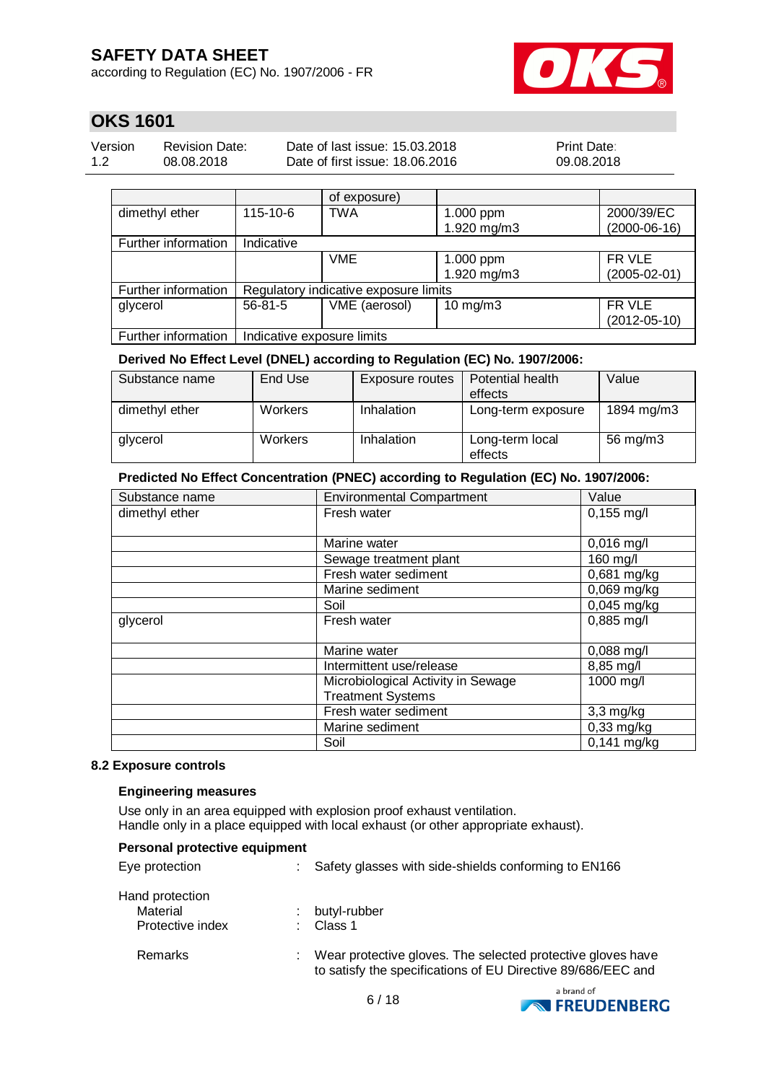according to Regulation (EC) No. 1907/2006 - FR



# **OKS 1601**

| Version | <b>Revision Date:</b> | Date of last issue: 15.03.2018  | <b>Print Date:</b> |
|---------|-----------------------|---------------------------------|--------------------|
| 1.2     | 08.08.2018            | Date of first issue: 18,06,2016 | 09.08.2018         |

|                     |                                       | of exposure)  |                   |                    |
|---------------------|---------------------------------------|---------------|-------------------|--------------------|
| dimethyl ether      | 115-10-6                              | TWA           | 1.000 ppm         | 2000/39/EC         |
|                     |                                       |               | 1.920 mg/m3       | $(2000-06-16)$     |
| Further information | Indicative                            |               |                   |                    |
|                     |                                       | <b>VME</b>    | 1.000 ppm         | FR VLE             |
|                     |                                       |               | 1.920 mg/m3       | $(2005 - 02 - 01)$ |
| Further information | Regulatory indicative exposure limits |               |                   |                    |
| glycerol            | $56 - 81 - 5$                         | VME (aerosol) | $10 \text{ mg/m}$ | FR VLE             |
|                     |                                       |               |                   | $(2012 - 05 - 10)$ |
| Further information | Indicative exposure limits            |               |                   |                    |

**Derived No Effect Level (DNEL) according to Regulation (EC) No. 1907/2006:**

| Substance name | End Use        | Exposure routes | Potential health           | Value      |
|----------------|----------------|-----------------|----------------------------|------------|
|                |                |                 | effects                    |            |
| dimethyl ether | <b>Workers</b> | Inhalation      | Long-term exposure         | 1894 mg/m3 |
| glycerol       | Workers        | Inhalation      | Long-term local<br>effects | 56 mg/m3   |

#### **Predicted No Effect Concentration (PNEC) according to Regulation (EC) No. 1907/2006:**

| Substance name | <b>Environmental Compartment</b>   | Value                    |
|----------------|------------------------------------|--------------------------|
| dimethyl ether | Fresh water                        | $0,155$ mg/l             |
|                |                                    |                          |
|                | Marine water                       | $0,016$ mg/l             |
|                | Sewage treatment plant             | 160 mg/l                 |
|                | Fresh water sediment               | 0,681 mg/kg              |
|                | Marine sediment                    | $0,069$ mg/kg            |
|                | Soil                               | $0,045$ mg/kg            |
| glycerol       | Fresh water                        | 0,885 mg/l               |
|                |                                    |                          |
|                | Marine water                       | $0,088$ mg/l             |
|                | Intermittent use/release           | 8,85 mg/l                |
|                | Microbiological Activity in Sewage | 1000 mg/l                |
|                | <b>Treatment Systems</b>           |                          |
|                | Fresh water sediment               | $3,3$ mg/kg              |
|                | Marine sediment                    | $0,33$ mg/kg             |
|                | Soil                               | $\overline{0,141}$ mg/kg |

#### **8.2 Exposure controls**

#### **Engineering measures**

Use only in an area equipped with explosion proof exhaust ventilation. Handle only in a place equipped with local exhaust (or other appropriate exhaust).

| Personal protective equipment                   |  |                                                                                                                             |  |  |  |
|-------------------------------------------------|--|-----------------------------------------------------------------------------------------------------------------------------|--|--|--|
| Eye protection                                  |  | Safety glasses with side-shields conforming to EN166                                                                        |  |  |  |
| Hand protection<br>Material<br>Protective index |  | butyl-rubber<br>Class 1                                                                                                     |  |  |  |
| Remarks                                         |  | Wear protective gloves. The selected protective gloves have<br>to satisfy the specifications of EU Directive 89/686/EEC and |  |  |  |

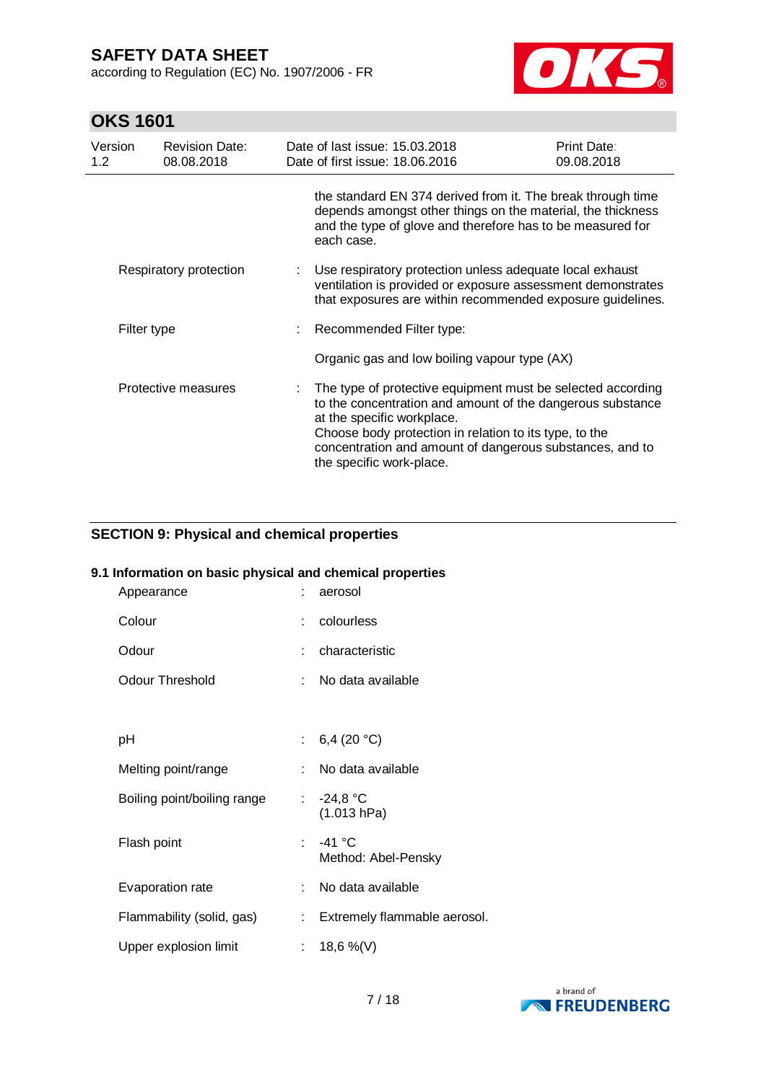according to Regulation (EC) No. 1907/2006 - FR



# **OKS 1601**

| Version<br>$1.2^{\circ}$ | <b>Revision Date:</b><br>08.08.2018 | Date of last issue: 15.03.2018<br>Date of first issue: 18.06.2016                                                                                                                                                                                                                                         | <b>Print Date:</b><br>09.08.2018 |
|--------------------------|-------------------------------------|-----------------------------------------------------------------------------------------------------------------------------------------------------------------------------------------------------------------------------------------------------------------------------------------------------------|----------------------------------|
|                          |                                     | the standard EN 374 derived from it. The break through time<br>depends amongst other things on the material, the thickness<br>and the type of glove and therefore has to be measured for<br>each case.                                                                                                    |                                  |
|                          | Respiratory protection              | Use respiratory protection unless adequate local exhaust<br>ventilation is provided or exposure assessment demonstrates<br>that exposures are within recommended exposure guidelines.                                                                                                                     |                                  |
|                          | Filter type                         | Recommended Filter type:                                                                                                                                                                                                                                                                                  |                                  |
|                          |                                     | Organic gas and low boiling vapour type (AX)                                                                                                                                                                                                                                                              |                                  |
|                          | Protective measures                 | The type of protective equipment must be selected according<br>to the concentration and amount of the dangerous substance<br>at the specific workplace.<br>Choose body protection in relation to its type, to the<br>concentration and amount of dangerous substances, and to<br>the specific work-place. |                                  |

### **SECTION 9: Physical and chemical properties**

#### **9.1 Information on basic physical and chemical properties**

| Appearance                  |    | aerosol                       |
|-----------------------------|----|-------------------------------|
| Colour                      | t. | colourless                    |
| Odour                       |    | characteristic                |
| <b>Odour Threshold</b>      | t. | No data available             |
|                             |    |                               |
| рH                          |    | : 6,4 (20 °C)                 |
| Melting point/range         | t. | No data available             |
| Boiling point/boiling range | t. | $-24.8 °C$<br>(1.013 hPa)     |
| Flash point                 | ю, | -41 °C<br>Method: Abel-Pensky |
| Evaporation rate            | t. | No data available             |
| Flammability (solid, gas)   | ÷. | Extremely flammable aerosol.  |
| Upper explosion limit       |    | 18,6 %(V)                     |

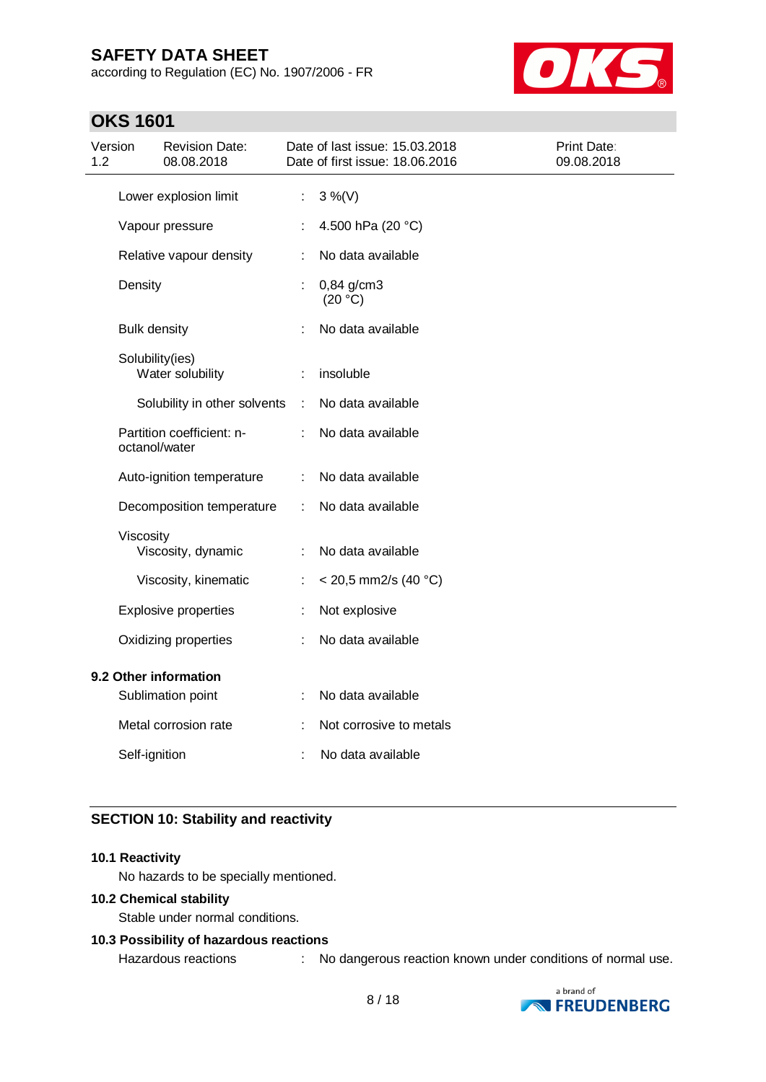according to Regulation (EC) No. 1907/2006 - FR



# **OKS 1601**

| Version<br>1.2                             |                       | <b>Revision Date:</b><br>08.08.2018 |                       | Date of last issue: 15.03.2018<br>Date of first issue: 18.06.2016 | Print Date:<br>09.08.2018 |
|--------------------------------------------|-----------------------|-------------------------------------|-----------------------|-------------------------------------------------------------------|---------------------------|
|                                            | Lower explosion limit |                                     | $\mathbb{Z}^{\times}$ | $3\%$ (V)                                                         |                           |
|                                            |                       | Vapour pressure                     |                       | 4.500 hPa (20 °C)                                                 |                           |
|                                            |                       | Relative vapour density             | ÷                     | No data available                                                 |                           |
|                                            | Density               |                                     |                       | $0,84$ g/cm3<br>(20 °C)                                           |                           |
|                                            | <b>Bulk density</b>   |                                     |                       | No data available                                                 |                           |
|                                            | Solubility(ies)       | Water solubility                    | ÷                     | insoluble                                                         |                           |
|                                            |                       | Solubility in other solvents        | $\pm$                 | No data available                                                 |                           |
|                                            | octanol/water         | Partition coefficient: n-           | ÷                     | No data available                                                 |                           |
|                                            |                       | Auto-ignition temperature           | ÷                     | No data available                                                 |                           |
|                                            |                       | Decomposition temperature           | ÷                     | No data available                                                 |                           |
|                                            | Viscosity             | Viscosity, dynamic                  | ÷                     | No data available                                                 |                           |
|                                            |                       | Viscosity, kinematic                | ÷                     | $<$ 20,5 mm2/s (40 °C)                                            |                           |
|                                            |                       | <b>Explosive properties</b>         | ÷                     | Not explosive                                                     |                           |
|                                            |                       | Oxidizing properties                | ÷                     | No data available                                                 |                           |
| 9.2 Other information<br>Sublimation point |                       |                                     | ÷                     | No data available                                                 |                           |
|                                            |                       | Metal corrosion rate                |                       | Not corrosive to metals                                           |                           |
|                                            | Self-ignition         |                                     |                       | No data available                                                 |                           |

### **SECTION 10: Stability and reactivity**

#### **10.1 Reactivity**

No hazards to be specially mentioned.

#### **10.2 Chemical stability**

Stable under normal conditions.

### **10.3 Possibility of hazardous reactions**

Hazardous reactions : No dangerous reaction known under conditions of normal use.

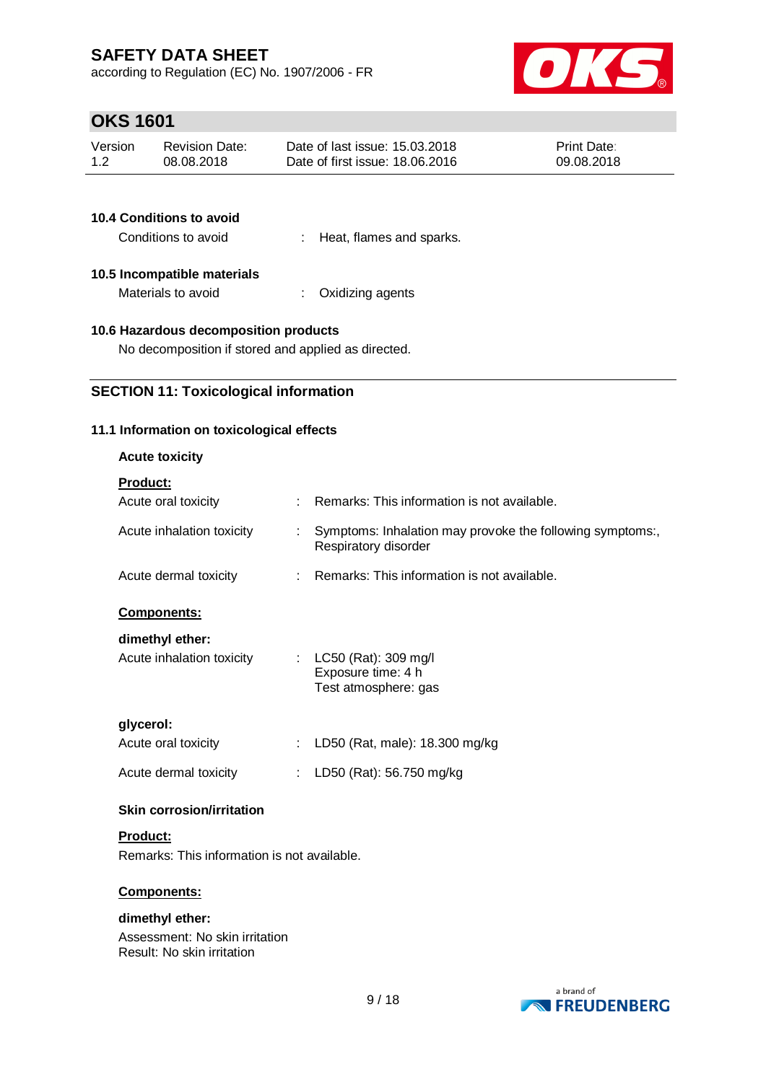according to Regulation (EC) No. 1907/2006 - FR



# **OKS 1601**

| Version | <b>Revision Date:</b> | Date of last issue: 15.03.2018  | <b>Print Date:</b> |
|---------|-----------------------|---------------------------------|--------------------|
| 1.2     | 08.08.2018            | Date of first issue: 18,06,2016 | 09.08.2018         |

| <b>10.4 Conditions to avoid</b> |                            |
|---------------------------------|----------------------------|
| Conditions to avoid             | : Heat, flames and sparks. |
| 10.5 Incompatible materials     |                            |
| Materials to avoid              | : Oxidizing agents         |

#### **10.6 Hazardous decomposition products**

No decomposition if stored and applied as directed.

### **SECTION 11: Toxicological information**

### **11.1 Information on toxicological effects**

### **Acute toxicity**

| Product: |  |  |  |  |
|----------|--|--|--|--|
|          |  |  |  |  |

| <b>Product:</b>                             |    |                                                                                   |
|---------------------------------------------|----|-----------------------------------------------------------------------------------|
| Acute oral toxicity                         |    | Remarks: This information is not available.                                       |
| Acute inhalation toxicity                   | ÷  | Symptoms: Inhalation may provoke the following symptoms:,<br>Respiratory disorder |
| Acute dermal toxicity                       |    | Remarks: This information is not available.                                       |
| <b>Components:</b>                          |    |                                                                                   |
| dimethyl ether:                             |    |                                                                                   |
| Acute inhalation toxicity                   |    | : LC50 (Rat): 309 mg/l<br>Exposure time: 4 h<br>Test atmosphere: gas              |
| glycerol:                                   |    |                                                                                   |
| Acute oral toxicity                         |    | LD50 (Rat, male): 18.300 mg/kg                                                    |
| Acute dermal toxicity                       | ÷. | LD50 (Rat): 56.750 mg/kg                                                          |
| <b>Skin corrosion/irritation</b>            |    |                                                                                   |
| <b>Product:</b>                             |    |                                                                                   |
| Remarks: This information is not available. |    |                                                                                   |
| <b>Components:</b>                          |    |                                                                                   |
| dimethyl ether:                             |    |                                                                                   |

Assessment: No skin irritation Result: No skin irritation

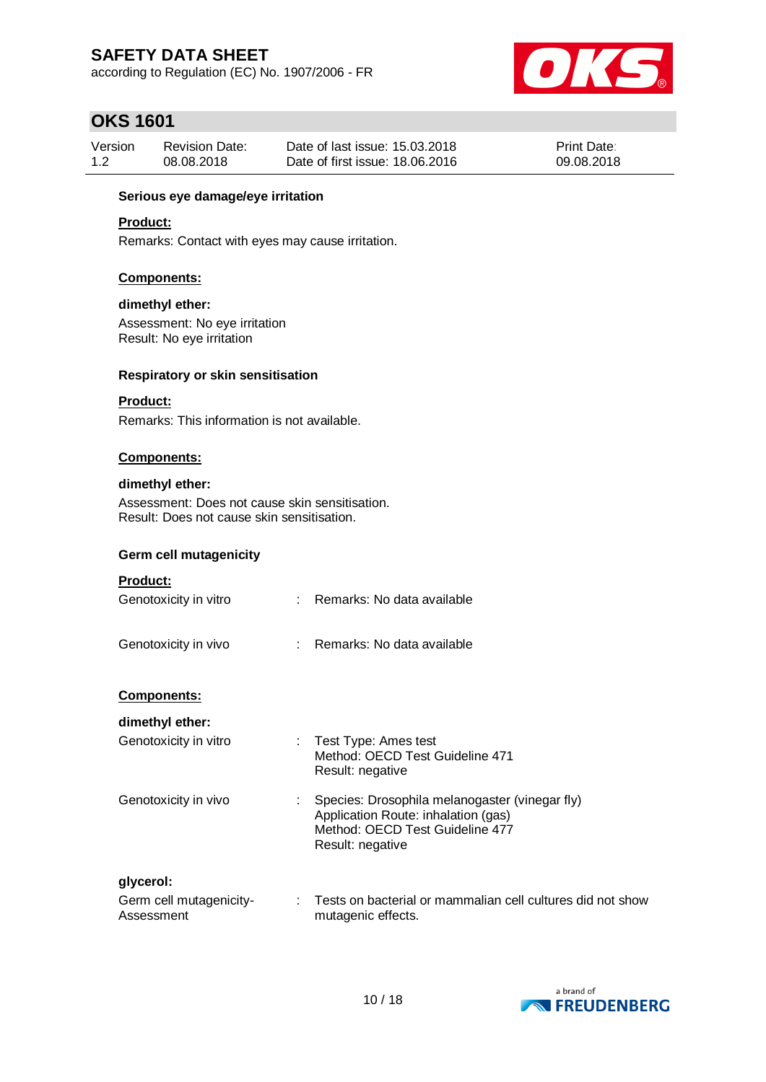according to Regulation (EC) No. 1907/2006 - FR



# **OKS 1601**

| Version | <b>Revision Date:</b> | Date of last issue: 15.03.2018  | <b>Print Date:</b> |
|---------|-----------------------|---------------------------------|--------------------|
| 1.2     | 08.08.2018            | Date of first issue: 18,06,2016 | 09.08.2018         |

#### **Serious eye damage/eye irritation**

### **Product:**

Remarks: Contact with eyes may cause irritation.

#### **Components:**

#### **dimethyl ether:**

Assessment: No eye irritation Result: No eye irritation

#### **Respiratory or skin sensitisation**

#### **Product:**

Remarks: This information is not available.

#### **Components:**

#### **dimethyl ether:**

Assessment: Does not cause skin sensitisation. Result: Does not cause skin sensitisation.

#### **Germ cell mutagenicity**

#### **Product:**

| Genotoxicity in vitro | : Remarks: No data available |
|-----------------------|------------------------------|
|                       |                              |

#### **Components:**

#### **dimethyl ether:**

| Genotoxicity in vitro | Test Type: Ames test<br>Method: OECD Test Guideline 471<br>Result: negative                                                                  |
|-----------------------|----------------------------------------------------------------------------------------------------------------------------------------------|
| Genotoxicity in vivo  | Species: Drosophila melanogaster (vinegar fly)<br>Application Route: inhalation (gas)<br>Method: OECD Test Guideline 477<br>Result: negative |
| glycerol:             |                                                                                                                                              |

```
Germ cell mutagenicity-
Assessment
                              : Tests on bacterial or mammalian cell cultures did not show 
                                 mutagenic effects.
```
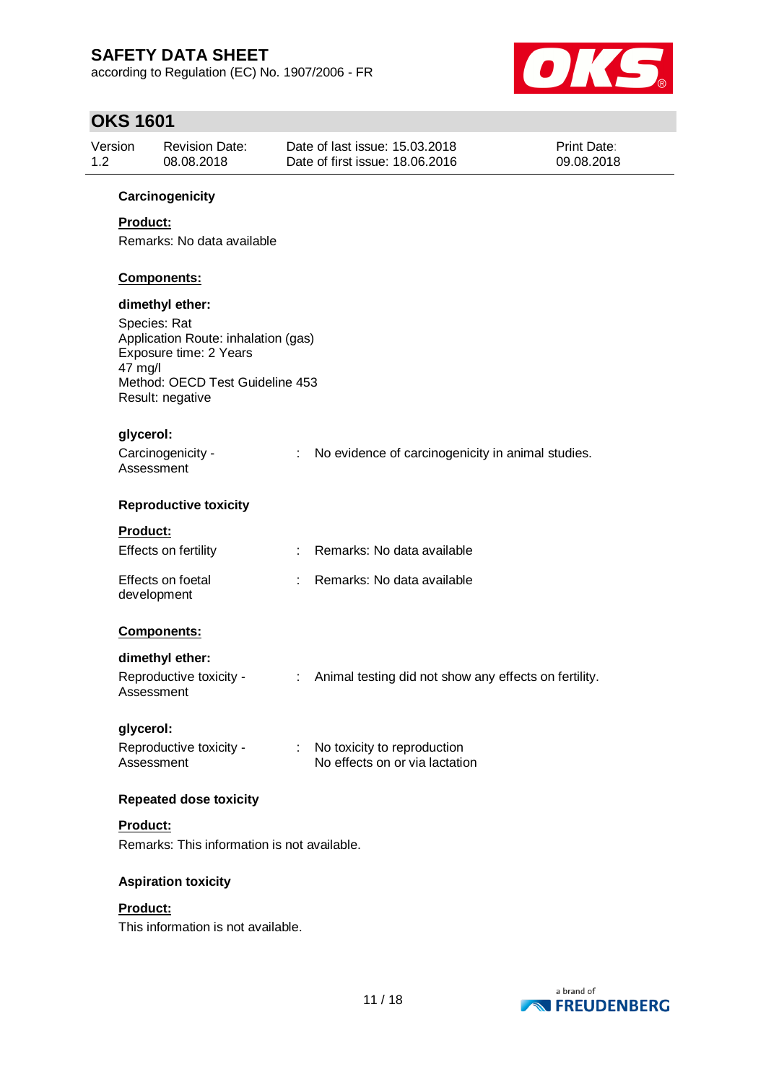according to Regulation (EC) No. 1907/2006 - FR



# **OKS 1601**

| Version<br>Revision Date:<br>1.2<br>08.08.2018 | Date of last issue: 15.03.2018<br>Date of first issue: 18,06,2016 | <b>Print Date:</b><br>09.08.2018 |
|------------------------------------------------|-------------------------------------------------------------------|----------------------------------|
|------------------------------------------------|-------------------------------------------------------------------|----------------------------------|

#### **Carcinogenicity**

### **Product:**

Remarks: No data available

#### **Components:**

#### **dimethyl ether:**

Species: Rat Application Route: inhalation (gas) Exposure time: 2 Years 47 mg/l Method: OECD Test Guideline 453 Result: negative

#### **glycerol:**

| Carcinogenicity - | No evidence of carcinogenicity in animal studies. |
|-------------------|---------------------------------------------------|
| Assessment        |                                                   |

#### **Reproductive toxicity**

#### **Product:**

| Effects on fertility             | : Remarks: No data available |
|----------------------------------|------------------------------|
| Effects on foetal<br>development | : Remarks: No data available |

#### **Components:**

#### **dimethyl ether:**

#### **glycerol:**

| Reproductive toxicity - | No toxicity to reproduction    |
|-------------------------|--------------------------------|
| Assessment              | No effects on or via lactation |

#### **Repeated dose toxicity**

#### **Product:**

Remarks: This information is not available.

#### **Aspiration toxicity**

#### **Product:**

This information is not available.

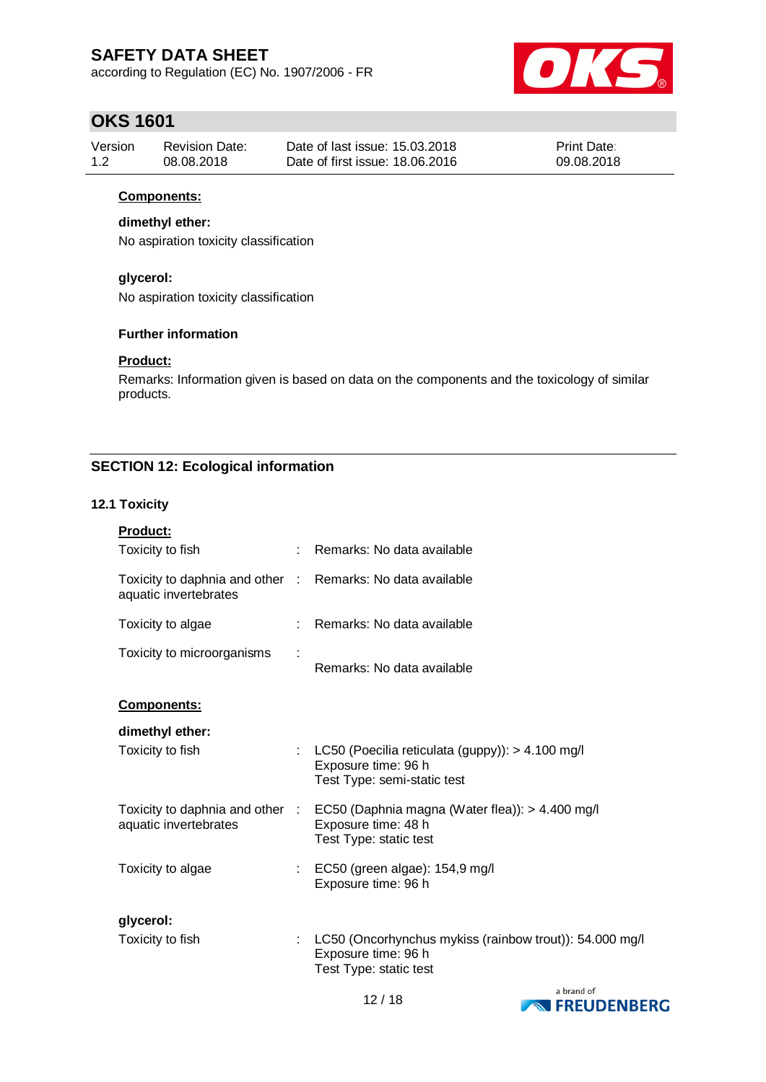according to Regulation (EC) No. 1907/2006 - FR



# **OKS 1601**

| Version | <b>Revision Date:</b> | Date of last issue: 15.03.2018  | <b>Print Date:</b> |
|---------|-----------------------|---------------------------------|--------------------|
| 1.2     | 08.08.2018            | Date of first issue: 18.06.2016 | 09.08.2018         |

### **Components:**

### **dimethyl ether:**

No aspiration toxicity classification

### **glycerol:**

No aspiration toxicity classification

### **Further information**

#### **Product:**

Remarks: Information given is based on data on the components and the toxicology of similar products.

### **SECTION 12: Ecological information**

### **12.1 Toxicity**

| Product:                                                 |    |                                                                                                          |
|----------------------------------------------------------|----|----------------------------------------------------------------------------------------------------------|
| Toxicity to fish                                         |    | Remarks: No data available                                                                               |
| Toxicity to daphnia and other :<br>aquatic invertebrates |    | Remarks: No data available                                                                               |
| Toxicity to algae                                        |    | Remarks: No data available                                                                               |
| Toxicity to microorganisms                               |    | Remarks: No data available                                                                               |
| <u>Components:</u>                                       |    |                                                                                                          |
| dimethyl ether:                                          |    |                                                                                                          |
| Toxicity to fish                                         |    | LC50 (Poecilia reticulata (guppy)): > 4.100 mg/l<br>Exposure time: 96 h<br>Test Type: semi-static test   |
| Toxicity to daphnia and other :<br>aquatic invertebrates |    | EC50 (Daphnia magna (Water flea)): > 4.400 mg/l<br>Exposure time: 48 h<br>Test Type: static test         |
| Toxicity to algae                                        | ÷. | EC50 (green algae): 154,9 mg/l<br>Exposure time: 96 h                                                    |
| glycerol:                                                |    |                                                                                                          |
| Toxicity to fish                                         |    | LC50 (Oncorhynchus mykiss (rainbow trout)): 54.000 mg/l<br>Exposure time: 96 h<br>Test Type: static test |

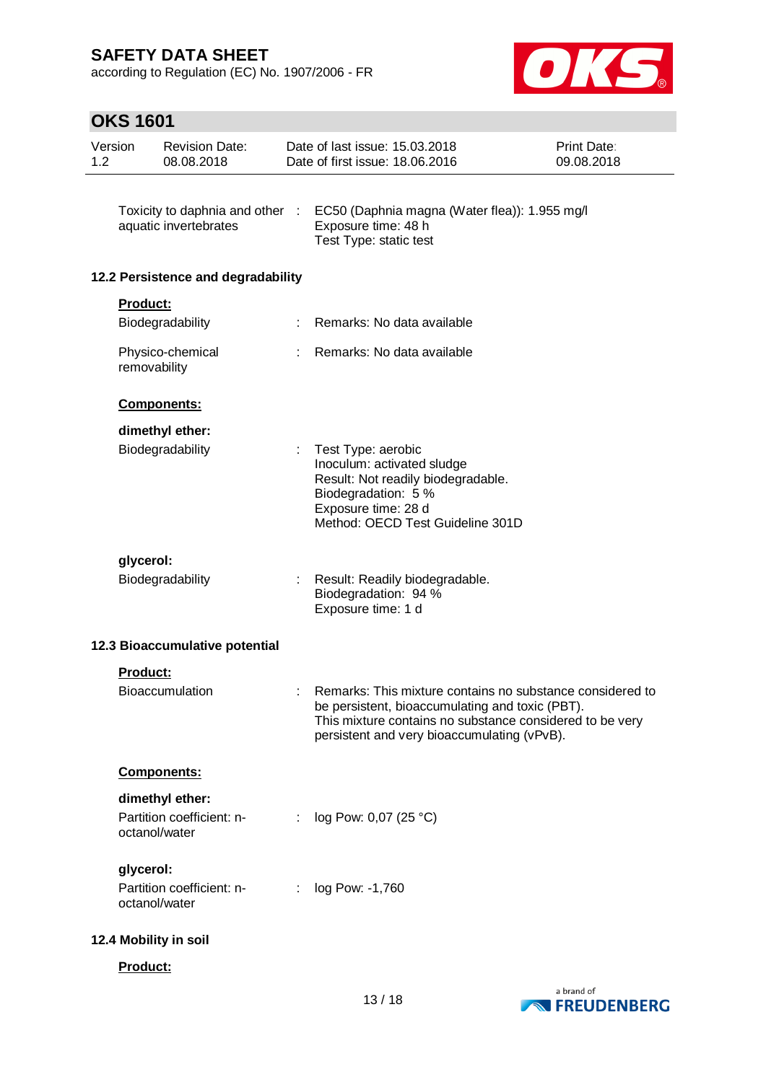according to Regulation (EC) No. 1907/2006 - FR



# **OKS 1601**

| Version<br>1.2 |                 | <b>Revision Date:</b><br>08.08.2018                    |            | Date of last issue: 15.03.2018<br>Date of first issue: 18.06.2016                                                                                                                                                       | Print Date:<br>09.08.2018 |
|----------------|-----------------|--------------------------------------------------------|------------|-------------------------------------------------------------------------------------------------------------------------------------------------------------------------------------------------------------------------|---------------------------|
|                |                 | Toxicity to daphnia and other<br>aquatic invertebrates | $\sim$ 100 | EC50 (Daphnia magna (Water flea)): 1.955 mg/l<br>Exposure time: 48 h                                                                                                                                                    |                           |
|                |                 |                                                        |            | Test Type: static test                                                                                                                                                                                                  |                           |
|                |                 | 12.2 Persistence and degradability                     |            |                                                                                                                                                                                                                         |                           |
|                | <b>Product:</b> | Biodegradability                                       |            | Remarks: No data available                                                                                                                                                                                              |                           |
|                |                 | Physico-chemical                                       |            | Remarks: No data available                                                                                                                                                                                              |                           |
|                |                 | removability                                           |            |                                                                                                                                                                                                                         |                           |
|                |                 | <b>Components:</b>                                     |            |                                                                                                                                                                                                                         |                           |
|                |                 | dimethyl ether:                                        |            |                                                                                                                                                                                                                         |                           |
|                |                 | Biodegradability                                       |            | Test Type: aerobic<br>Inoculum: activated sludge<br>Result: Not readily biodegradable.<br>Biodegradation: 5 %                                                                                                           |                           |
|                |                 |                                                        |            | Exposure time: 28 d<br>Method: OECD Test Guideline 301D                                                                                                                                                                 |                           |
|                | glycerol:       |                                                        |            |                                                                                                                                                                                                                         |                           |
|                |                 | Biodegradability                                       |            | Result: Readily biodegradable.<br>Biodegradation: 94 %<br>Exposure time: 1 d                                                                                                                                            |                           |
|                |                 | 12.3 Bioaccumulative potential                         |            |                                                                                                                                                                                                                         |                           |
|                | Product:        |                                                        |            |                                                                                                                                                                                                                         |                           |
|                |                 | <b>Bioaccumulation</b>                                 | ÷.         | Remarks: This mixture contains no substance considered to<br>be persistent, bioaccumulating and toxic (PBT).<br>This mixture contains no substance considered to be very<br>persistent and very bioaccumulating (vPvB). |                           |
|                |                 | <b>Components:</b>                                     |            |                                                                                                                                                                                                                         |                           |
|                |                 | dimethyl ether:                                        |            |                                                                                                                                                                                                                         |                           |
|                |                 | Partition coefficient: n-<br>octanol/water             | ÷          | log Pow: 0,07 (25 °C)                                                                                                                                                                                                   |                           |
|                | glycerol:       |                                                        |            |                                                                                                                                                                                                                         |                           |
|                |                 | Partition coefficient: n-<br>octanol/water             |            | log Pow: -1,760                                                                                                                                                                                                         |                           |
|                |                 | 12.4 Mobility in soil                                  |            |                                                                                                                                                                                                                         |                           |
|                | Product:        |                                                        |            |                                                                                                                                                                                                                         |                           |

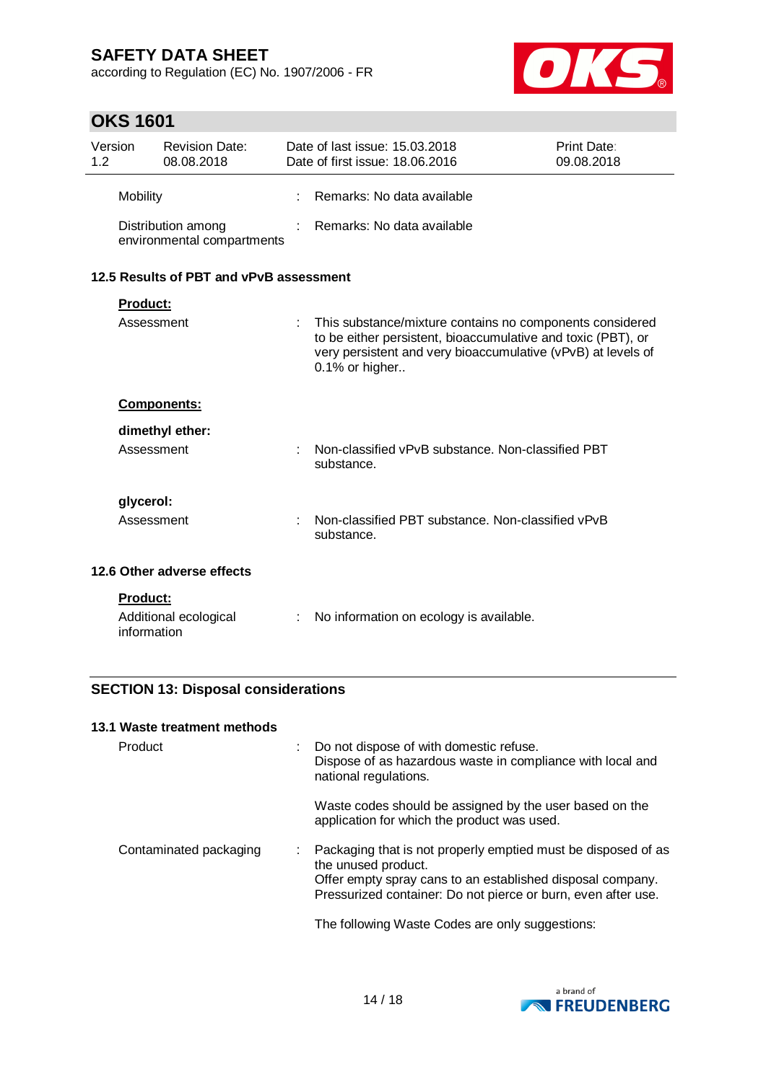according to Regulation (EC) No. 1907/2006 - FR



# **OKS 1601**

| Version<br>$1.2^{\circ}$ |                 | <b>Revision Date:</b><br>08.08.2018              |    | Date of last issue: 15.03.2018<br>Date of first issue: 18,06,2016                                                                                                                                          | Print Date:<br>09.08.2018 |
|--------------------------|-----------------|--------------------------------------------------|----|------------------------------------------------------------------------------------------------------------------------------------------------------------------------------------------------------------|---------------------------|
|                          | <b>Mobility</b> |                                                  |    | Remarks: No data available                                                                                                                                                                                 |                           |
|                          |                 | Distribution among<br>environmental compartments |    | Remarks: No data available                                                                                                                                                                                 |                           |
|                          |                 | 12.5 Results of PBT and vPvB assessment          |    |                                                                                                                                                                                                            |                           |
|                          | <b>Product:</b> |                                                  |    |                                                                                                                                                                                                            |                           |
|                          | Assessment      |                                                  |    | This substance/mixture contains no components considered<br>to be either persistent, bioaccumulative and toxic (PBT), or<br>very persistent and very bioaccumulative (vPvB) at levels of<br>0.1% or higher |                           |
|                          |                 | <b>Components:</b>                               |    |                                                                                                                                                                                                            |                           |
|                          |                 | dimethyl ether:                                  |    |                                                                                                                                                                                                            |                           |
|                          | Assessment      |                                                  |    | Non-classified vPvB substance, Non-classified PBT<br>substance.                                                                                                                                            |                           |
|                          | glycerol:       |                                                  |    |                                                                                                                                                                                                            |                           |
|                          | Assessment      |                                                  |    | Non-classified PBT substance. Non-classified vPvB<br>substance.                                                                                                                                            |                           |
|                          |                 | 12.6 Other adverse effects                       |    |                                                                                                                                                                                                            |                           |
|                          | <b>Product:</b> |                                                  |    |                                                                                                                                                                                                            |                           |
|                          | information     | Additional ecological                            | ÷. | No information on ecology is available.                                                                                                                                                                    |                           |

### **SECTION 13: Disposal considerations**

### **13.1 Waste treatment methods**

| Product                | : Do not dispose of with domestic refuse.<br>Dispose of as hazardous waste in compliance with local and<br>national regulations.                                                                                      |
|------------------------|-----------------------------------------------------------------------------------------------------------------------------------------------------------------------------------------------------------------------|
|                        | Waste codes should be assigned by the user based on the<br>application for which the product was used.                                                                                                                |
| Contaminated packaging | : Packaging that is not properly emptied must be disposed of as<br>the unused product.<br>Offer empty spray cans to an established disposal company.<br>Pressurized container: Do not pierce or burn, even after use. |
|                        | The following Waste Codes are only suggestions:                                                                                                                                                                       |

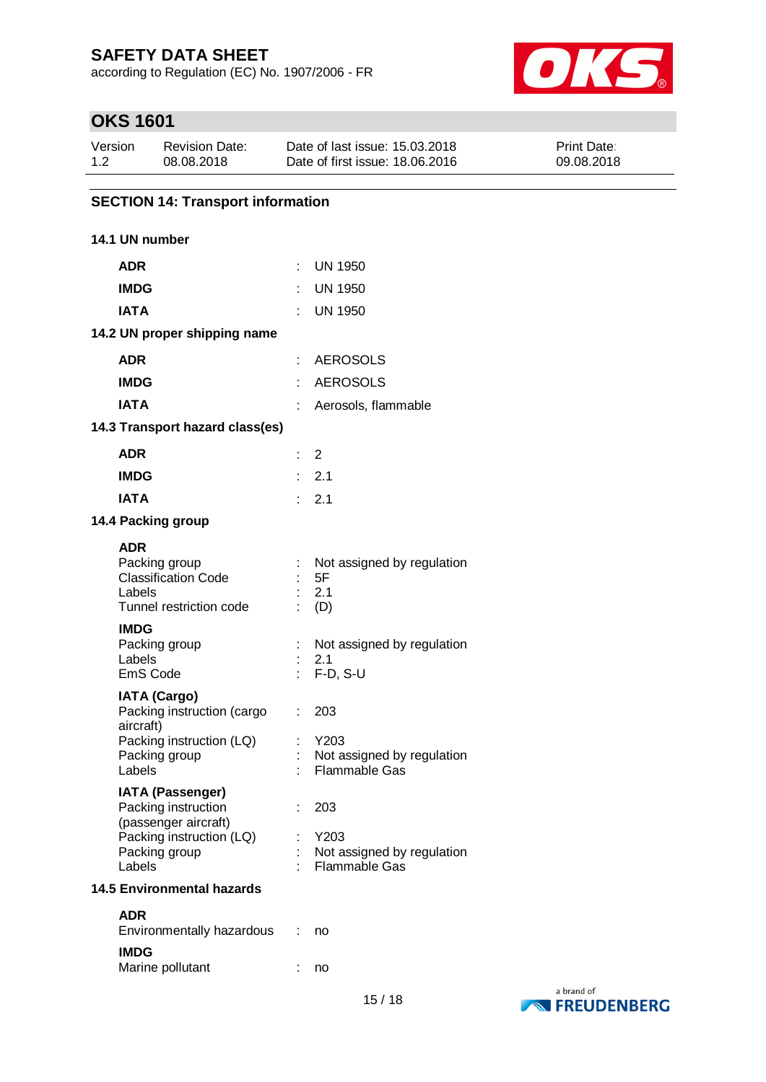according to Regulation (EC) No. 1907/2006 - FR



# **OKS 1601**

| Version | <b>Revision Date:</b> | Date of last issue: 15.03.2018  | <b>Print Date:</b> |
|---------|-----------------------|---------------------------------|--------------------|
| 1.2     | 08.08.2018            | Date of first issue: 18,06,2016 | 09.08.2018         |

### **SECTION 14: Transport information**

### **14.1 UN number**

| <b>ADR</b>                                        | t  | <b>UN 1950</b>                                     |
|---------------------------------------------------|----|----------------------------------------------------|
| <b>IMDG</b>                                       |    | <b>UN 1950</b>                                     |
| <b>IATA</b>                                       |    | <b>UN 1950</b>                                     |
| 14.2 UN proper shipping name                      |    |                                                    |
| <b>ADR</b>                                        | ÷  | <b>AEROSOLS</b>                                    |
| <b>IMDG</b>                                       |    | <b>AEROSOLS</b>                                    |
| <b>IATA</b>                                       |    | Aerosols, flammable                                |
| 14.3 Transport hazard class(es)                   |    |                                                    |
| <b>ADR</b>                                        |    | $\overline{2}$                                     |
| <b>IMDG</b>                                       | t. | 2.1                                                |
| <b>IATA</b>                                       |    | 2.1                                                |
| 14.4 Packing group                                |    |                                                    |
| <b>ADR</b>                                        |    |                                                    |
| Packing group                                     |    | Not assigned by regulation                         |
| <b>Classification Code</b><br>Labels              |    | 5F<br>2.1                                          |
| Tunnel restriction code                           |    | (D)                                                |
| <b>IMDG</b>                                       |    |                                                    |
| Packing group                                     |    | Not assigned by regulation                         |
| Labels<br><b>EmS Code</b>                         |    | 2.1<br>$F-D, S-U$                                  |
|                                                   |    |                                                    |
| <b>IATA (Cargo)</b><br>Packing instruction (cargo | ÷. | 203                                                |
| aircraft)                                         |    |                                                    |
| Packing instruction (LQ)                          |    | Y203                                               |
| Packing group<br>Labels                           |    | Not assigned by regulation<br><b>Flammable Gas</b> |
| <b>IATA (Passenger)</b>                           |    |                                                    |
| Packing instruction                               |    | 203                                                |
| (passenger aircraft)                              |    |                                                    |
| Packing instruction (LQ)                          |    | Y203                                               |
| Packing group<br>Labels                           |    | Not assigned by regulation<br><b>Flammable Gas</b> |
| <b>14.5 Environmental hazards</b>                 |    |                                                    |
| <b>ADR</b>                                        |    |                                                    |
| Environmentally hazardous                         |    | no                                                 |
| <b>IMDG</b>                                       |    |                                                    |
| Marine pollutant                                  |    | no                                                 |

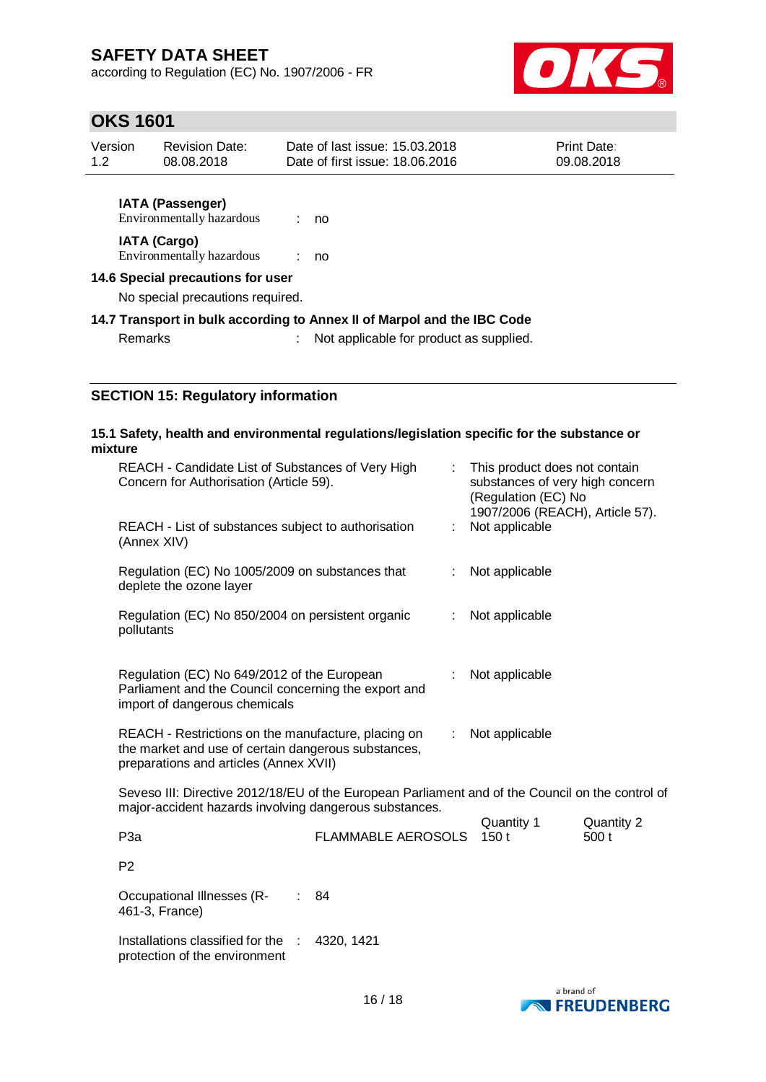according to Regulation (EC) No. 1907/2006 - FR



### **OKS 1601**

| Version | <b>Revision Date:</b> | Date of last issue: 15.03.2018  | <b>Print Date:</b> |  |
|---------|-----------------------|---------------------------------|--------------------|--|
| 1.2     | 08.08.2018            | Date of first issue: 18,06,2016 | 09.08.2018         |  |
|         |                       |                                 |                    |  |

**IATA (Passenger)** Environmentally hazardous : no **IATA (Cargo)** Environmentally hazardous : no

**14.6 Special precautions for user**

No special precautions required.

**14.7 Transport in bulk according to Annex II of Marpol and the IBC Code**

Remarks : Not applicable for product as supplied.

### **SECTION 15: Regulatory information**

#### **15.1 Safety, health and environmental regulations/legislation specific for the substance or mixture**

| REACH - Candidate List of Substances of Very High<br>Concern for Authorisation (Article 59).                                                               |    | This product does not contain<br>substances of very high concern<br>(Regulation (EC) No<br>1907/2006 (REACH), Article 57). |
|------------------------------------------------------------------------------------------------------------------------------------------------------------|----|----------------------------------------------------------------------------------------------------------------------------|
| REACH - List of substances subject to authorisation<br>(Annex XIV)                                                                                         | ÷. | Not applicable                                                                                                             |
| Regulation (EC) No 1005/2009 on substances that<br>deplete the ozone layer                                                                                 |    | Not applicable                                                                                                             |
| Regulation (EC) No 850/2004 on persistent organic<br>pollutants                                                                                            |    | Not applicable                                                                                                             |
| Regulation (EC) No 649/2012 of the European<br>Parliament and the Council concerning the export and<br>import of dangerous chemicals                       |    | Not applicable                                                                                                             |
| REACH - Restrictions on the manufacture, placing on<br>the market and use of certain dangerous substances,<br>preparations and articles (Annex XVII)       | ÷  | Not applicable                                                                                                             |
| Seveso III: Directive 2012/18/EU of the European Parliament and of the Council on the control of<br>major-accident hazards involving dangerous substances. |    |                                                                                                                            |

| P3a                        | FLAMMABLE AEROSOLS 150 t | Quantity 1 | Quantity 2<br>500t |
|----------------------------|--------------------------|------------|--------------------|
| P <sub>2</sub>             |                          |            |                    |
| Occupational Illnesses (R- | : 84                     |            |                    |

461-3, France)

Installations classified for the : 4320, 1421protection of the environment

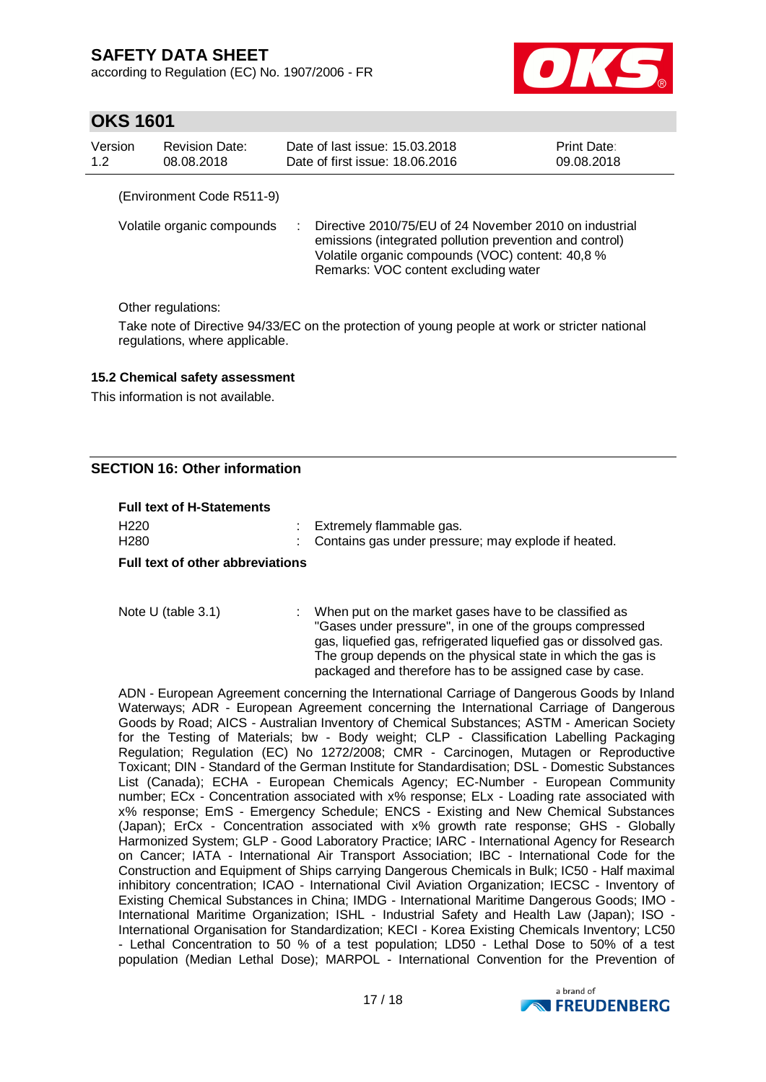according to Regulation (EC) No. 1907/2006 - FR



### **OKS 1601**

| Version<br>1.2 | <b>Revision Date:</b><br>08.08.2018 | Date of last issue: 15.03.2018<br>Date of first issue: 18.06.2016 |                                                                                                                                                                                                               | Print Date:<br>09.08.2018 |
|----------------|-------------------------------------|-------------------------------------------------------------------|---------------------------------------------------------------------------------------------------------------------------------------------------------------------------------------------------------------|---------------------------|
|                | (Environment Code R511-9)           |                                                                   |                                                                                                                                                                                                               |                           |
|                | Volatile organic compounds          |                                                                   | Directive 2010/75/EU of 24 November 2010 on industrial<br>emissions (integrated pollution prevention and control)<br>Volatile organic compounds (VOC) content: 40,8 %<br>Remarks: VOC content excluding water |                           |
|                | ∩ther regulations <sup>.</sup>      |                                                                   |                                                                                                                                                                                                               |                           |

Other regulations:

Take note of Directive 94/33/EC on the protection of young people at work or stricter national regulations, where applicable.

#### **15.2 Chemical safety assessment**

This information is not available.

### **SECTION 16: Other information**

#### **Full text of H-Statements**

| H <sub>220</sub><br>H <sub>280</sub> | : Extremely flammable gas.<br>: Contains gas under pressure; may explode if heated. |
|--------------------------------------|-------------------------------------------------------------------------------------|
|                                      |                                                                                     |

#### **Full text of other abbreviations**

Note U (table 3.1) : When put on the market gases have to be classified as "Gases under pressure", in one of the groups compressed gas, liquefied gas, refrigerated liquefied gas or dissolved gas. The group depends on the physical state in which the gas is packaged and therefore has to be assigned case by case.

ADN - European Agreement concerning the International Carriage of Dangerous Goods by Inland Waterways; ADR - European Agreement concerning the International Carriage of Dangerous Goods by Road; AICS - Australian Inventory of Chemical Substances; ASTM - American Society for the Testing of Materials; bw - Body weight; CLP - Classification Labelling Packaging Regulation; Regulation (EC) No 1272/2008; CMR - Carcinogen, Mutagen or Reproductive Toxicant; DIN - Standard of the German Institute for Standardisation; DSL - Domestic Substances List (Canada); ECHA - European Chemicals Agency; EC-Number - European Community number; ECx - Concentration associated with x% response; ELx - Loading rate associated with x% response; EmS - Emergency Schedule; ENCS - Existing and New Chemical Substances (Japan); ErCx - Concentration associated with x% growth rate response; GHS - Globally Harmonized System; GLP - Good Laboratory Practice; IARC - International Agency for Research on Cancer; IATA - International Air Transport Association; IBC - International Code for the Construction and Equipment of Ships carrying Dangerous Chemicals in Bulk; IC50 - Half maximal inhibitory concentration; ICAO - International Civil Aviation Organization; IECSC - Inventory of Existing Chemical Substances in China; IMDG - International Maritime Dangerous Goods; IMO - International Maritime Organization; ISHL - Industrial Safety and Health Law (Japan); ISO - International Organisation for Standardization; KECI - Korea Existing Chemicals Inventory; LC50 - Lethal Concentration to 50 % of a test population; LD50 - Lethal Dose to 50% of a test population (Median Lethal Dose); MARPOL - International Convention for the Prevention of